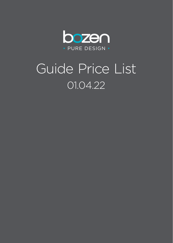

# Guide Price List 01.04.22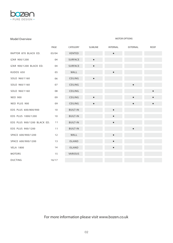

#### Model Overview **MOTOR OPTIONS**

|                             | PAGE  | CATEGORY        | <b>SLIMLINE</b> | <b>INTERNAL</b> | <b>EXTERNAL</b> | <b>ROOF</b> |
|-----------------------------|-------|-----------------|-----------------|-----------------|-----------------|-------------|
| RAPTOR 870 BLACK ED.        | 03/04 | VENTED          |                 | $\bullet$       |                 |             |
| IZAR 900/1200               | 04    | SURFACE         | $\bullet$       |                 |                 |             |
| IZAR 900/1200 BLACK ED.     | 04    | SURFACE         | $\bullet$       |                 |                 |             |
| KUDOS 650                   | 05    | WALL            |                 |                 |                 |             |
| SOLO 960/1160               | 06    | CEILING         |                 |                 |                 |             |
| SOLO 960/1160               | 07    | CEILING         |                 |                 |                 |             |
| SOLO 960/1160               | 08    | CEILING         |                 |                 |                 | $\bullet$   |
| <b>NEO 900</b>              | 09    | CEILING         |                 |                 |                 | $\bullet$   |
| NEO PLUS 900                | 09    | CEILING         |                 |                 |                 | $\bullet$   |
| EOS PLUS 600/800/900        | 10    | <b>BUILT-IN</b> |                 |                 |                 |             |
| EOS PLUS 1000/1200          | 10    | <b>BUILT-IN</b> |                 |                 |                 |             |
| EOS PLUS 900/1200 BLACK ED. | 11    | <b>BUILT-IN</b> |                 |                 |                 |             |
| EOS PLUS 900/1200           | 11    | <b>BUILT-IN</b> |                 |                 |                 |             |
| SPACE 600/900/1200          | 12    | WALL            |                 |                 |                 |             |
| SPACE 600/900/1200          | 13    | <b>ISLAND</b>   |                 |                 |                 |             |
| <b>VELA 1800</b>            | 14    | <b>ISLAND</b>   |                 |                 |                 |             |
| <b>MOTORS</b>               | 15    | VARIOUS         |                 |                 |                 |             |
| <b>DUCTING</b>              | 16/17 |                 |                 |                 |                 |             |

For more information please visit www.bozen.co.uk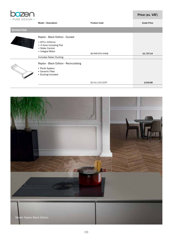

| TUINE DEUIUIN     | Model / Description                                                                                 | <b>Product Code</b> | <b>Guide Price</b> |
|-------------------|-----------------------------------------------------------------------------------------------------|---------------------|--------------------|
| <b>Vented Hob</b> |                                                                                                     |                     |                    |
|                   | Raptor - Black Edition - Ducted                                                                     |                     |                    |
|                   | • 870 x 520mm<br>• 4 Zone including Flex<br>• Slider Control<br>• Integral Motor                    | BO-RAP-870-VHDB     | £1,707.14          |
|                   | <b>Includes Naber Ducting</b>                                                                       |                     |                    |
|                   | Raptor - Black Edition - Recirculating<br>• Plinth System<br>• Ceramic Filter<br>• Ducting Included |                     |                    |
|                   |                                                                                                     | BO-DLI-200-CERF     | £142.86            |
|                   |                                                                                                     |                     |                    |

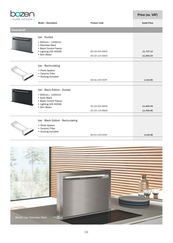

|                  | Model / Description                            | <b>Product Code</b> | <b>Guide Price</b> |
|------------------|------------------------------------------------|---------------------|--------------------|
| <b>Downdraft</b> |                                                |                     |                    |
|                  | Izar - Ducted                                  |                     |                    |
|                  | • 900mm / 1200mm<br>• Stainless Steel          |                     |                    |
|                  | · Black Control Fascia                         |                     |                    |
|                  | • Lighting LED 4000K                           | BO-IZA-900-SBDD     | £1,707.14          |
|                  | • Slim Motor                                   | BO-IZA-120-SBDD     | £1,850.00          |
|                  |                                                |                     |                    |
|                  | Izar - Recirculating                           |                     |                    |
|                  | • Plinth System                                |                     |                    |
|                  | • Ceramic Filter                               |                     |                    |
|                  | • Ducting Included                             | BO-DLI-200-CERF     | £142.86            |
|                  |                                                |                     |                    |
|                  | Izar - Black Edition - Ducted                  |                     |                    |
|                  | • 900mm / 1200mm                               |                     |                    |
|                  | • Satin Black                                  |                     |                    |
|                  | • Black Control Fascia<br>• Lighting LED 4000K |                     |                    |
|                  | • Slim Motor                                   | BO-IZA-900-BBDD     | £1,850.00          |
|                  |                                                | BO-IZA-120-BBDD     | £1,992.86          |
|                  |                                                |                     |                    |
|                  | Izar - Black Edition - Recirculating           |                     |                    |
|                  | • Plinth System                                |                     |                    |
|                  | • Ceramic Filter<br>• Ducting Included         |                     |                    |
|                  |                                                | BO-DLI-200-CERF     | £142.86            |
|                  |                                                |                     |                    |

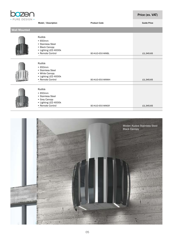

|                     | Model / Description                                                                                       | <b>Product Code</b> | <b>Guide Price</b> |
|---------------------|-----------------------------------------------------------------------------------------------------------|---------------------|--------------------|
| <b>Wall Mounted</b> |                                                                                                           |                     |                    |
|                     | Kudos<br>•650mm<br>• Stainless Steel<br>• Black Canopy<br>• Lighting LED 4000k<br>• Remote Control        | BO-KUD-650-WMBL     | £1,345.65          |
|                     | Kudos<br>$\cdot$ 650mm<br>• Stainless Steel<br>• White Canopy<br>• Lighting LED 4000k<br>• Remote Control | BO-KUD-650-WMWH     | £1,345.65          |
|                     | Kudos<br>$\cdot$ 650mm<br>• Stainless Steel<br>• Grey Canopy<br>• Lighting LED 4000k<br>• Remote Control  | BO-KUD-650-WMGR     | £1,345.65          |

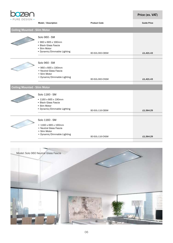

|                                     | Model / Description                                                                           | <b>Product Code</b> | <b>Guide Price</b> |
|-------------------------------------|-----------------------------------------------------------------------------------------------|---------------------|--------------------|
| <b>Ceiling Mounted - Slim Motor</b> |                                                                                               |                     |                    |
|                                     | Solo 960 - SM                                                                                 |                     |                    |
|                                     | • 960 x 665 x 190mm<br>• Black Glass Fascia<br>• Slim Motor<br>• Dynamic/Dimmable Lighting    | BO-SOL-960-CBSM     | £1,421.43          |
|                                     | Solo 960 - SM                                                                                 |                     |                    |
|                                     | • 960 x 665 x 190mm<br>• Neutral Glass Fascia<br>• Slim Motor<br>• Dynamic/Dimmable Lighting  | BO-SOL-960-CNSM     | £1,421.43          |
| <b>Ceiling Mounted - Slim Motor</b> |                                                                                               |                     |                    |
|                                     | Solo 1160 - SM                                                                                |                     |                    |
|                                     | • 1160 x 665 x 190mm<br>• Black Glass Fascia<br>• Slim Motor<br>• Dynamic/Dimmable Lighting   | BO-SOL-116-CBSM     | £1,564.29          |
|                                     | Solo 1160 - SM                                                                                |                     |                    |
|                                     | • 1160 x 665 x 190mm<br>• Neutral Glass Fascia<br>• Slim Motor<br>• Dynamic/Dimmable Lighting |                     |                    |
|                                     |                                                                                               | BO-SOL-116-CNSM     | £1,564.29          |

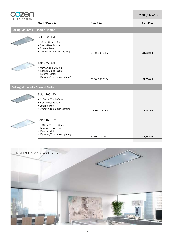

|                                         | Model / Description                                                                                                 | <b>Product Code</b> | <b>Guide Price</b> |
|-----------------------------------------|---------------------------------------------------------------------------------------------------------------------|---------------------|--------------------|
| <b>Ceiling Mounted - External Motor</b> |                                                                                                                     |                     |                    |
|                                         | Solo 960 - EM                                                                                                       |                     |                    |
|                                         | • 960 x 665 x 190mm<br>• Black Glass Fascia<br>• External Motor<br>• Dynamic/Dimmable Lighting                      | BO-SOL-960-CBEM     | £1,850.00          |
|                                         | Solo 960 - EM                                                                                                       |                     |                    |
|                                         | • 960 x 665 x 190mm<br>• Neutral Glass Fascia<br>• External Motor<br>• Dynamic/Dimmable Lighting                    | BO-SOL-960-CNEM     | £1,850.00          |
| <b>Ceiling Mounted - External Motor</b> |                                                                                                                     |                     |                    |
|                                         | Solo 1160 - EM                                                                                                      |                     |                    |
|                                         | • 1160 x 665 x 190mm<br>• Black Glass Fascia<br>• External Motor<br>• Dynamic/Dimmable Lighting                     | BO-SOL-116-CBEM     | £1,992.86          |
|                                         |                                                                                                                     |                     |                    |
|                                         | Solo 1160 - EM<br>• 1160 x 665 x 190mm<br>• Neutral Glass Fascia<br>• External Motor<br>• Dynamic/Dimmable Lighting |                     |                    |
|                                         |                                                                                                                     | BO-SOL-116-CNEM     | £1,992.86          |

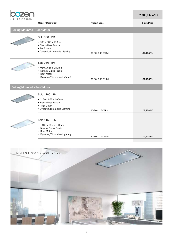

|                                     | Model / Description                                                                                             | <b>Product Code</b> | <b>Guide Price</b> |
|-------------------------------------|-----------------------------------------------------------------------------------------------------------------|---------------------|--------------------|
| <b>Ceiling Mounted - Roof Motor</b> |                                                                                                                 |                     |                    |
|                                     | Solo 960 - RM                                                                                                   |                     |                    |
|                                     | • 960 x 665 x 190mm<br>• Black Glass Fascia<br>• Roof Motor<br>• Dynamic/Dimmable Lighting                      | BO-SOL-960-CBRM     | £2,135.71          |
|                                     | Solo 960 - RM                                                                                                   |                     |                    |
|                                     | • 960 x 665 x 190mm<br>• Neutral Glass Fascia<br>• Roof Motor<br>• Dynamic/Dimmable Lighting                    | BO-SOL-960-CNRM     | £2,135.71          |
| <b>Ceiling Mounted - Roof Motor</b> |                                                                                                                 |                     |                    |
|                                     | Solo 1160 - RM                                                                                                  |                     |                    |
|                                     | • 1160 x 665 x 190mm<br>• Black Glass Fascia<br>• Roof Motor<br>• Dynamic/Dimmable Lighting                     | BO-SOL-116-CBRM     | £2,278.57          |
|                                     |                                                                                                                 |                     |                    |
|                                     | Solo 1160 - RM<br>• 1160 x 665 x 190mm<br>• Neutral Glass Fascia<br>• Roof Motor<br>• Dynamic/Dimmable Lighting |                     |                    |
|                                     |                                                                                                                 | BO-SOL-116-CNRM     | £2,278.57          |

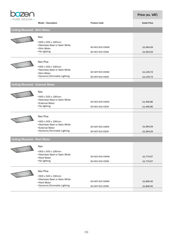

|                                         | Model / Description                              | <b>Product Code</b> | <b>Guide Price</b> |
|-----------------------------------------|--------------------------------------------------|---------------------|--------------------|
| <b>Ceiling Mounted - Slim Motor</b>     |                                                  |                     |                    |
|                                         | Neo<br>•900 x 500 x 190mm                        |                     |                    |
|                                         | • Stainless Steel or Satin White                 | BO-NEO-900-CWSM     | £1,064.29          |
|                                         | • Slim Motor<br>• No lighting                    |                     |                    |
|                                         |                                                  | BO-NEO-900-CSSM     | £1,064.29          |
|                                         | Neo Plus                                         |                     |                    |
|                                         | •900 x 500 x 190mm                               |                     |                    |
|                                         | • Stainless Steel or Satin White                 | BO-NEP-900-CWSM     | £1,135.72          |
|                                         | • Slim Motor<br>• Dynamic/Dimmable Lighting      | BO-NEP-900-CSSM     | £1,135.72          |
|                                         |                                                  |                     |                    |
| <b>Ceiling Mounted - External Motor</b> |                                                  |                     |                    |
|                                         | Neo                                              |                     |                    |
|                                         | •900 x 500 x 190mm                               |                     |                    |
|                                         | • Stainless Steel or Satin White                 | BO-NEO-900-CWEM     | £1,492.86          |
|                                         | • External Motor<br>• No lighting                | BO-NEO-900-CSEM     | £1,492.86          |
|                                         |                                                  |                     |                    |
|                                         | Neo Plus                                         |                     |                    |
|                                         | •900 x 500 x 190mm                               |                     |                    |
|                                         | • Stainless Steel or Satin White                 | BO-NEP-900-CWEM     | £1,564.29          |
|                                         | • External Motor<br>• Dynamic/Dimmable Lighting  | BO-NEP-900-CSEM     | £1,564.29          |
|                                         |                                                  |                     |                    |
| <b>Ceiling Mounted - Roof Motor</b>     |                                                  |                     |                    |
|                                         | Neo                                              |                     |                    |
|                                         | •900 x 500 x 190mm                               |                     |                    |
|                                         | • Stainless Steel or Satin White<br>• Roof Motor | BO-NEO-900-CWRM     | £1,770.57          |
|                                         | • No lighting                                    | BO-NEO-900-CSRM     | £1,770.57          |
|                                         |                                                  |                     |                    |
|                                         | Neo Plus                                         |                     |                    |
|                                         | •900 x 500 x 190mm                               |                     |                    |
|                                         | • Stainless Steel or Satin White<br>• Roof Motor | BO-NEP-900-CWRM     | £1,850.00          |
|                                         | • Dynamic/Dimmable Lighting                      | BO-NEP-900-CSRM     | £1,850.00          |
|                                         |                                                  |                     |                    |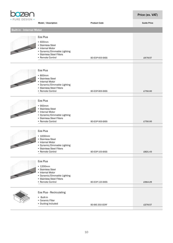

| • PURE DESIGN •                  | Model / Description                                                                                                                                 | <b>Product Code</b> | <b>Guide Price</b> |
|----------------------------------|-----------------------------------------------------------------------------------------------------------------------------------------------------|---------------------|--------------------|
| <b>Built-in - Internal Motor</b> |                                                                                                                                                     |                     |                    |
|                                  | Eos Plus<br>$\cdot$ 600mm<br>• Stainless Steel<br>• Internal Motor<br>• Dynamic/Dimmable Lighting<br>• Stainless Steel Filters<br>• Remote Control  | BO-EOP-600-BISS     | £678.57            |
|                                  | Eos Plus<br>•800mm<br>• Stainless Steel<br>• Internal Motor<br>• Dynamic/Dimmable Lighting<br>• Stainless Steel Filters<br>• Remote Control         | BO-EOP-800-BISS     | £750.00            |
|                                  | Eos Plus<br>•900mm<br>• Stainless Steel<br>• Internal Motor<br>• Dynamic/Dimmable Lighting<br>• Stainless Steel Filters<br>• Remote Control         | BO-EOP-900-BISS     | £750.00            |
|                                  | Eos Plus<br>$\cdot$ 1000mm<br>• Stainless Steel<br>• Internal Motor<br>• Dynamic/Dimmable Lighting<br>• Stainless Steel Filters<br>• Remote Control | BO-EOP-100-BISS     | £821.43            |
|                                  | Eos Plus<br>• 1200mm<br>• Stainless Steel<br>• Internal Motor<br>• Dynamic/Dimmable Lighting<br>• Stainless Steel Filters<br>• Remote Control       | BO-EOP-120-BISS     | £964.29            |
|                                  | Eos Plus - Recirculating<br>• Built-in<br>• Ceramic Filter<br>• Ducting Included                                                                    | BO-BIE-350-CERF     | £278.57            |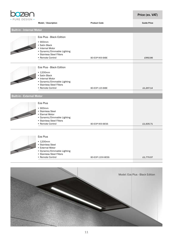

| • PURE DESIGN •                  | Model / Description                                                                                                                                             | <b>Product Code</b> | <b>Guide Price</b> |
|----------------------------------|-----------------------------------------------------------------------------------------------------------------------------------------------------------------|---------------------|--------------------|
| <b>Built-in - Internal Motor</b> |                                                                                                                                                                 |                     |                    |
|                                  |                                                                                                                                                                 |                     |                    |
|                                  | Eos Plus - Black Edition<br>•900mm<br>• Satin Black<br>• Internal Motor<br>• Dynamic/Dimmable Lighting                                                          |                     |                    |
|                                  | • Stainless Steel Filters<br>• Remote Control                                                                                                                   | BO-EOP-900-BIBE     | £992.86            |
|                                  |                                                                                                                                                                 |                     |                    |
|                                  | Eos Plus - Black Edition<br>$\cdot$ 1200mm<br>• Satin Black<br>• Internal Motor<br>• Dynamic/Dimmable Lighting<br>• Stainless Steel Filters<br>• Remote Control | BO-EOP-120-BIBE     | £1,207.14          |
|                                  |                                                                                                                                                                 |                     |                    |
| <b>Built-in - External Motor</b> |                                                                                                                                                                 |                     |                    |
|                                  | Eos Plus<br>•900mm<br>· Stainless Steel<br>• Eternal Motor<br>• Dynamic/Dimmable Lighting<br>• Stainless Steel Filters                                          |                     |                    |
|                                  | • Remote Control                                                                                                                                                | BO-EOP-900-BESS     | £1,635.71          |
|                                  |                                                                                                                                                                 |                     |                    |
|                                  | Eos Plus<br>$\cdot$ 1200mm<br>• Stainless Steel<br>• External Motor<br>• Dynamic/Dimmable Lighting<br>• Stainless Steel Filters<br>• Remote Control             |                     |                    |
|                                  |                                                                                                                                                                 | BO-EOP-1200-BESS    | £1,770.57          |

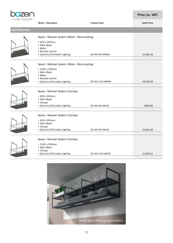

|                     | Model / Description                                                                                                                             | <b>Product Code</b> | <b>Guide Price</b> |
|---------------------|-------------------------------------------------------------------------------------------------------------------------------------------------|---------------------|--------------------|
| <b>Wall Mounted</b> |                                                                                                                                                 |                     |                    |
|                     | Space - Modular System (Motor - Recirculating)<br>• 900 x 500mm<br>• Satin Black<br>• Motor<br>• Remote Control<br>• Dynamic/Dimmable Lighting  | BO-SPA-900-WMMB     | £1,921.43          |
|                     | Space - Modular System (Motor - Recirculating)<br>• 1200 x 500mm<br>• Satin Black<br>• Motor<br>• Remote Control<br>• Dynamic/Dimmable Lighting | BO-SPA-1200-WMMB    | £2,064.29          |
|                     | Space - Modular System (Canopy)<br>• 600 x 500mm<br>• Satin Black<br>• Canopy<br>• Dynamic/Dimmable Lighting                                    | BO-SPA-600-WMCB     | £992.86            |
|                     | Space - Modular System (Canopy)<br>• 900 x 500mm<br>• Satin Black<br>• Canopy<br>• Dynamic/Dimmable Lighting                                    | BO-SPA-900-WMCB     | £1,064.29          |
|                     | Space - Modular System (Canopy)<br>• 1200 x 500mm<br>• Satin Black<br>• Canopy<br>• Dynamic/Dimmable Lighting                                   | BO-SPA-1200-WMCB    | £1,207.14          |

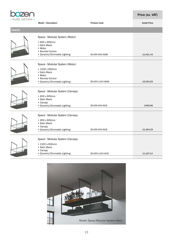

|               | Model / Description                                                                                                             | <b>Product Code</b> | <b>Guide Price</b> |
|---------------|---------------------------------------------------------------------------------------------------------------------------------|---------------------|--------------------|
| <b>Island</b> |                                                                                                                                 |                     |                    |
|               | Space - Modular System (Motor)<br>• 900 x 600mm<br>• Satin Black<br>• Motor<br>• Remote Control<br>• Dynamic/Dimmable Lighting  | BO-SPA-900-ISMB     | £1,921.43          |
|               | Space - Modular System (Motor)<br>• 1200 x 600mm<br>• Satin Black<br>• Motor<br>• Remote Control<br>• Dynamic/Dimmable Lighting | BO-SPA-1200-ISMB    | £2,064.29          |
|               | Space - Modular System (Canopy)<br>• 600 x 600mm<br>• Satin Black<br>• Canopy<br>• Dynamic/Dimmable Lighting                    | BO-SPA-600-ISCB     | £992.86            |
|               | Space - Modular System (Canopy)<br>• 900 x 600mm<br>• Satin Black<br>• Canopy<br>• Dynamic/Dimmable Lighting                    | BO-SPA-900-ISCB     | £1,064.29          |
|               | Space - Modular System (Canopy)<br>• 1200 x 600mm<br>• Satin Black<br>• Canopy<br>• Dynamic/Dimmable Lighting                   | BO-SPA-1200-ISCB    | £1,207.14          |

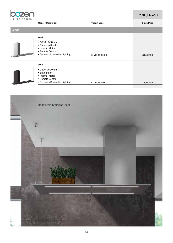

|               | Model / Description                                                                                                | <b>Product Code</b> | <b>Guide Price</b> |
|---------------|--------------------------------------------------------------------------------------------------------------------|---------------------|--------------------|
| <b>Island</b> |                                                                                                                    |                     |                    |
|               | Vela<br>• 1800 x 500mm<br>• Stainless Steel<br>• Internal Motor<br>• Remote Control<br>• Dynamic/Dimmable Lighting | BO-VEL-180-ISSS     | £1,850.00          |
| 1             | Vela                                                                                                               |                     |                    |
|               | • 1800 x 500mm<br>• Satin Black<br>• Internal Motor<br>• Remote Control<br>• Dynamic/Dimmable Lighting             | BO-VEL-180-ISBL     | £1,992.86          |
|               |                                                                                                                    |                     |                    |

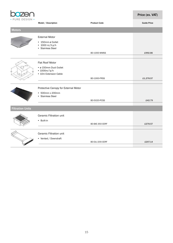

|                         | Model / Description                                                                      | <b>Product Code</b> | <b>Guide Price</b> |
|-------------------------|------------------------------------------------------------------------------------------|---------------------|--------------------|
| <b>Motors</b>           |                                                                                          |                     |                    |
|                         | <b>External Motor</b><br>• 150mm ø Outlet<br>$\cdot$ 1000 m/3 p/h<br>• Stainless Steel   |                     |                    |
|                         |                                                                                          | B0-1000-WMSS        | £992.86            |
|                         | Flat Roof Motor<br>· ø 150mm Duct Outlet<br>• $1000m/{}^{3}p/h$<br>• 10m Extension Cable | <b>BO-1000-FRSS</b> | £1,278.57          |
|                         | Protective Canopy for External Motor<br>• 500mm x 200mm<br>• Stainless Steel             | BO-5020-PCSS        | £42.79             |
| <b>Filtration Units</b> |                                                                                          |                     |                    |
|                         | Ceramic Filtration unit<br>• Built-in                                                    | BO-BIE-350-CERF     | £278.57            |
|                         | Ceramic Filtration unit<br>• Vented / Downdraft                                          | BO-DLI-200-CERF     | £207.14            |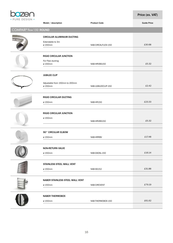

|                         | Model / description                                              | <b>Product Code</b> | <b>Guide Price</b> |  |
|-------------------------|------------------------------------------------------------------|---------------------|--------------------|--|
| COMPAIR® flow 150 ROUND |                                                                  |                     |                    |  |
|                         | CIRCULAR ALUMINIUM DUCTING<br>Extendable to 3m<br>ø 150mm        | NAB-CIRCALFLEXI-150 | £30.68             |  |
|                         | <b>RIGID CIRCULAR JUNCTION</b><br>For Flexi ducting<br>ø 150mm   | NAB-HRVBS150        | £5.32              |  |
|                         | <b>JUBILEE CLIP</b><br>Adjustable from 150mm to 200mm<br>ø 150mm | NAB-JUBILEECLIP-150 | £2.42              |  |
|                         | RIGID CIRCULAR DUCTING<br>ø 150mm                                | NAB-HR150           | £23.33             |  |
|                         | <b>RIGID CIRCULAR JUNCTION</b><br>ø 150mm                        | NAB-HRVBS150        | £5.32              |  |
|                         | 90° CIRCULAR ELBOW<br>ø 150mm                                    | NAB-HRRBV           | £17.48             |  |
|                         | <b>NON-RETURN VALVE</b><br>ø 150mm                               | NAB-DAOSL-150       | £16.14             |  |
|                         | STAINLESS STEEL WALL VENT<br>ø 150mm                             | NAB-SS152           | £31.88             |  |
|                         | NABER STAINLESS STEEL WALL VENT<br>ø 150mm                       | NAB-CIRCVENT        | £79.19             |  |
|                         | <b>NABER THERMOBOX</b><br>ø 150mm                                | NAB-THERMOBOX-150   | £61.62             |  |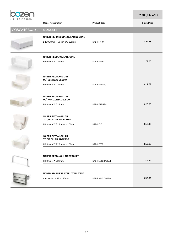

|                               | Model / description                               | <b>Product Code</b> | <b>Guide Price</b> |  |  |
|-------------------------------|---------------------------------------------------|---------------------|--------------------|--|--|
| COMPAIR® flow 150 RECTANGULAR |                                                   |                     |                    |  |  |
|                               | NABER RIGID RECTANGULAR DUCTING                   |                     |                    |  |  |
|                               | L 1000mm x H 89mm x W 222mm                       | NAB-HFVRO           | £17.48             |  |  |
|                               |                                                   |                     |                    |  |  |
|                               | <b>NABER RECTANGULAR JOINER</b>                   |                     |                    |  |  |
|                               | H 89mm x W 222mm                                  | NAB-HFRVB           | £7.03              |  |  |
|                               |                                                   |                     |                    |  |  |
|                               | <b>NABER RECTANGULAR</b><br>90° VERTICAL ELBOW    |                     |                    |  |  |
|                               | H 89mm x W 222mm                                  | NAB-HFRBV90         | £14.59             |  |  |
|                               |                                                   |                     |                    |  |  |
|                               | <b>NABER RECTANGULAR</b><br>90° HORIZONTAL ELBOW  |                     |                    |  |  |
|                               | H 89mm x W 222mm                                  | NAB-HFRBH90         | £20.00             |  |  |
|                               |                                                   |                     |                    |  |  |
|                               | <b>NABER RECTANGULAR</b><br>TO CIRCULAR 90° ELBOW |                     |                    |  |  |
|                               | H 89mm x W 222mm x ø 150mm                        | NAB-HFUR            | £18.38             |  |  |
|                               |                                                   |                     |                    |  |  |
|                               | <b>NABER RECTANGULAR</b><br>TO CIRCULAR ADAPTOR   |                     |                    |  |  |
|                               | H 89mm x W 222mm x ø 150mm                        | NAB-HFEST           | £15.68             |  |  |
|                               |                                                   |                     |                    |  |  |
|                               | NABER RECTANGULAR BRACKET                         |                     |                    |  |  |
|                               | H 89mm x W 222mm                                  | NAB-RECTBRACKET     | £4.77              |  |  |
|                               |                                                   |                     |                    |  |  |
|                               | NABER STAINLESS STEEL WALL VENT                   |                     |                    |  |  |
|                               | Connection H 89 x 222mm                           | NAB-EJALFLOW150     | £98.56             |  |  |
|                               |                                                   |                     |                    |  |  |